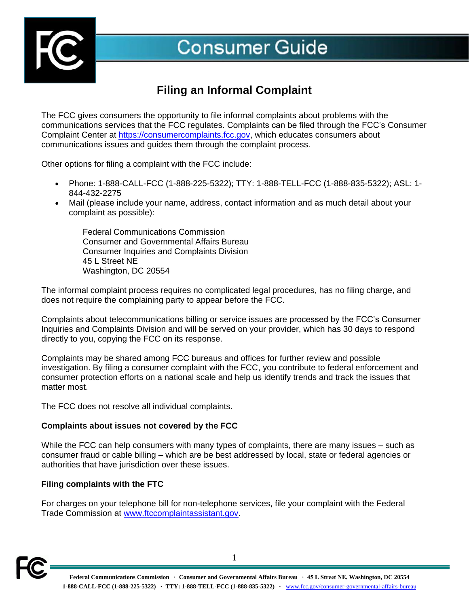

# **Consumer Guide**

# **Filing an Informal Complaint**

The FCC gives consumers the opportunity to file informal complaints about problems with the communications services that the FCC regulates. Complaints can be filed through the FCC's Consumer Complaint Center at [https://consumercomplaints.fcc.gov,](https://consumercomplaints.fcc.gov/) which educates consumers about communications issues and guides them through the complaint process.

Other options for filing a complaint with the FCC include:

- Phone: 1-888-CALL-FCC (1-888-225-5322); TTY: 1-888-TELL-FCC (1-888-835-5322); ASL: 1- 844-432-2275
- Mail (please include your name, address, contact information and as much detail about your complaint as possible):

Federal Communications Commission Consumer and Governmental Affairs Bureau Consumer Inquiries and Complaints Division 45 L Street NE Washington, DC 20554

The informal complaint process requires no complicated legal procedures, has no filing charge, and does not require the complaining party to appear before the FCC.

Complaints about telecommunications billing or service issues are processed by the FCC's Consumer Inquiries and Complaints Division and will be served on your provider, which has 30 days to respond directly to you, copying the FCC on its response.

Complaints may be shared among FCC bureaus and offices for further review and possible investigation. By filing a consumer complaint with the FCC, you contribute to federal enforcement and consumer protection efforts on a national scale and help us identify trends and track the issues that matter most.

The FCC does not resolve all individual complaints.

## **Complaints about issues not covered by the FCC**

While the FCC can help consumers with many types of complaints, there are many issues – such as consumer fraud or cable billing – which are be best addressed by local, state or federal agencies or authorities that have jurisdiction over these issues.

## **Filing complaints with the FTC**

For charges on your telephone bill for non-telephone services, file your complaint with the Federal Trade Commission at [www.ftccomplaintassistant.gov.](https://www.ftccomplaintassistant.gov/)